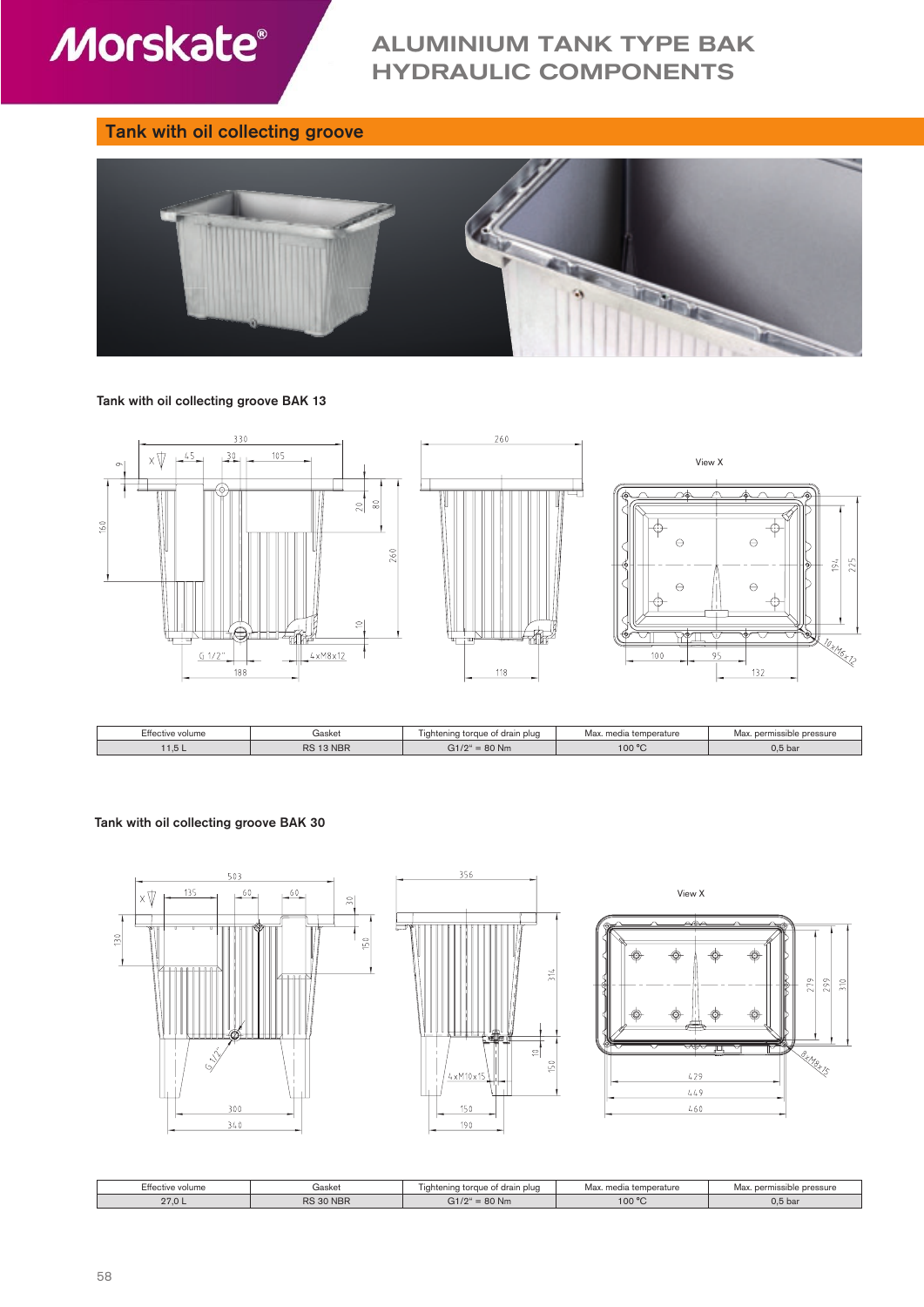

# ALUMINIUM TANK TYPE BAK HYDRAULIC COMPONENTS

# Tank with oil collecting groove



Tank with oil collecting groove BAK 13



| Effective volume | Gasket    |                       | media temperature<br>Max | . permissible pressure<br>Max |
|------------------|-----------|-----------------------|--------------------------|-------------------------------|
| 1.5 L            | RS 13 NBR | $t = 80$ Nm<br>0.1104 | 100 °C                   | 0.5 <sub>bal</sub>            |

### Tank with oil collecting groove BAK 30







| C44.<br>tive volume:<br>⊨πеα | Gasket    | drain plud<br>jahtening torc<br>$\sim$<br>ັ | Max.<br>. media temperature | Ma:<br>pressure<br>permissible |
|------------------------------|-----------|---------------------------------------------|-----------------------------|--------------------------------|
| 270<br>21.0 <sub>L</sub>     | RS 30 NBR |                                             | 100 °C                      | 0.5 <sub>b</sub>               |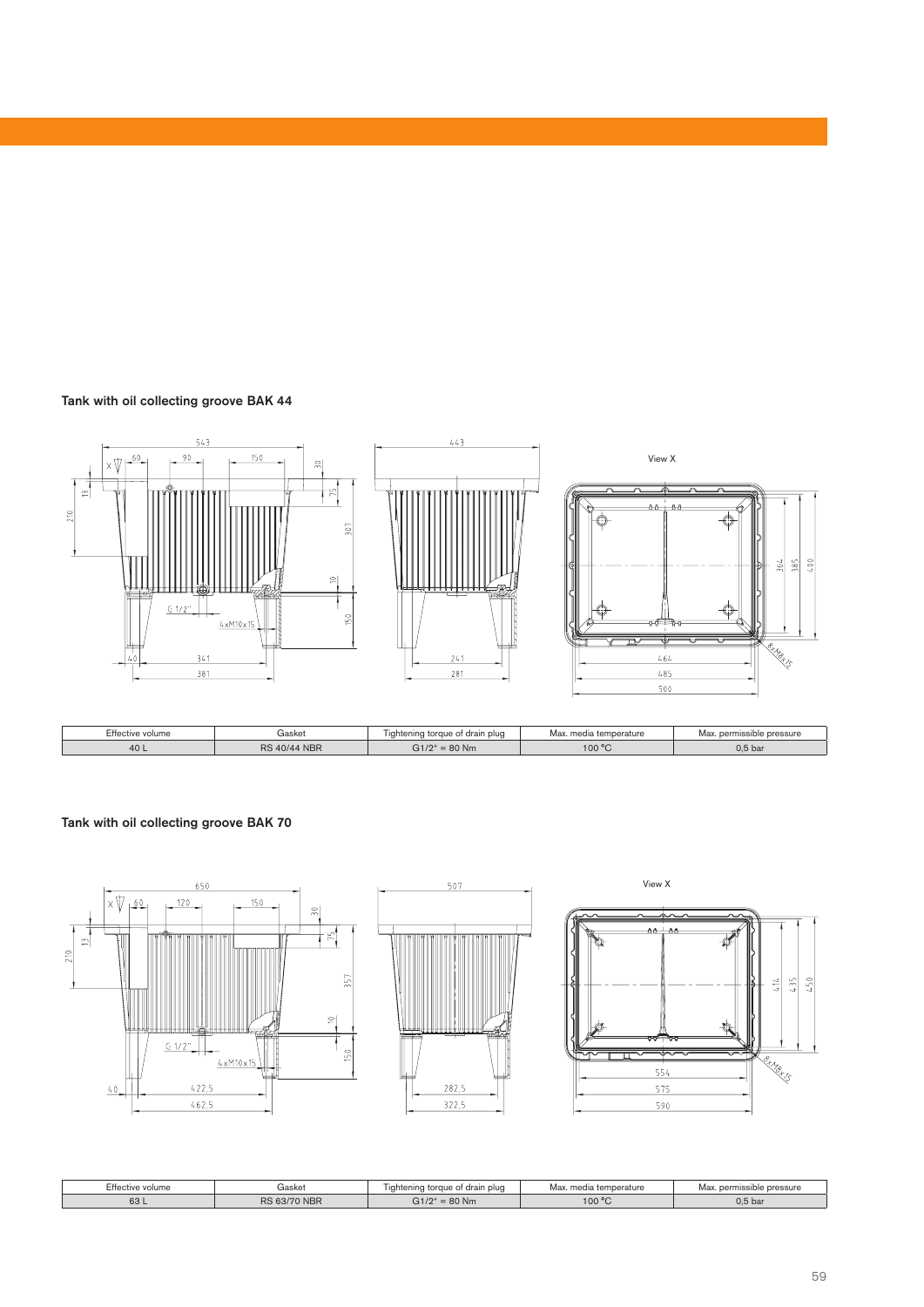## Tank with oil collecting groove BAK 44



## Tank with oil collecting groove BAK 70







| EH.<br>∵tıve volume | Gasket                | plud<br>Liahtenina tc<br>drain | Max<br>med<br>. temperature | :SSUre<br><b>DOPPOIL</b><br>Ma <sup>,</sup> |
|---------------------|-----------------------|--------------------------------|-----------------------------|---------------------------------------------|
| $\sim$<br>ರಿ        | RS<br>00100<br>'' NBN | 80 Nm<br>$\sim$ $+104$         | 100 °C                      | 0.5 <sub>bar</sub>                          |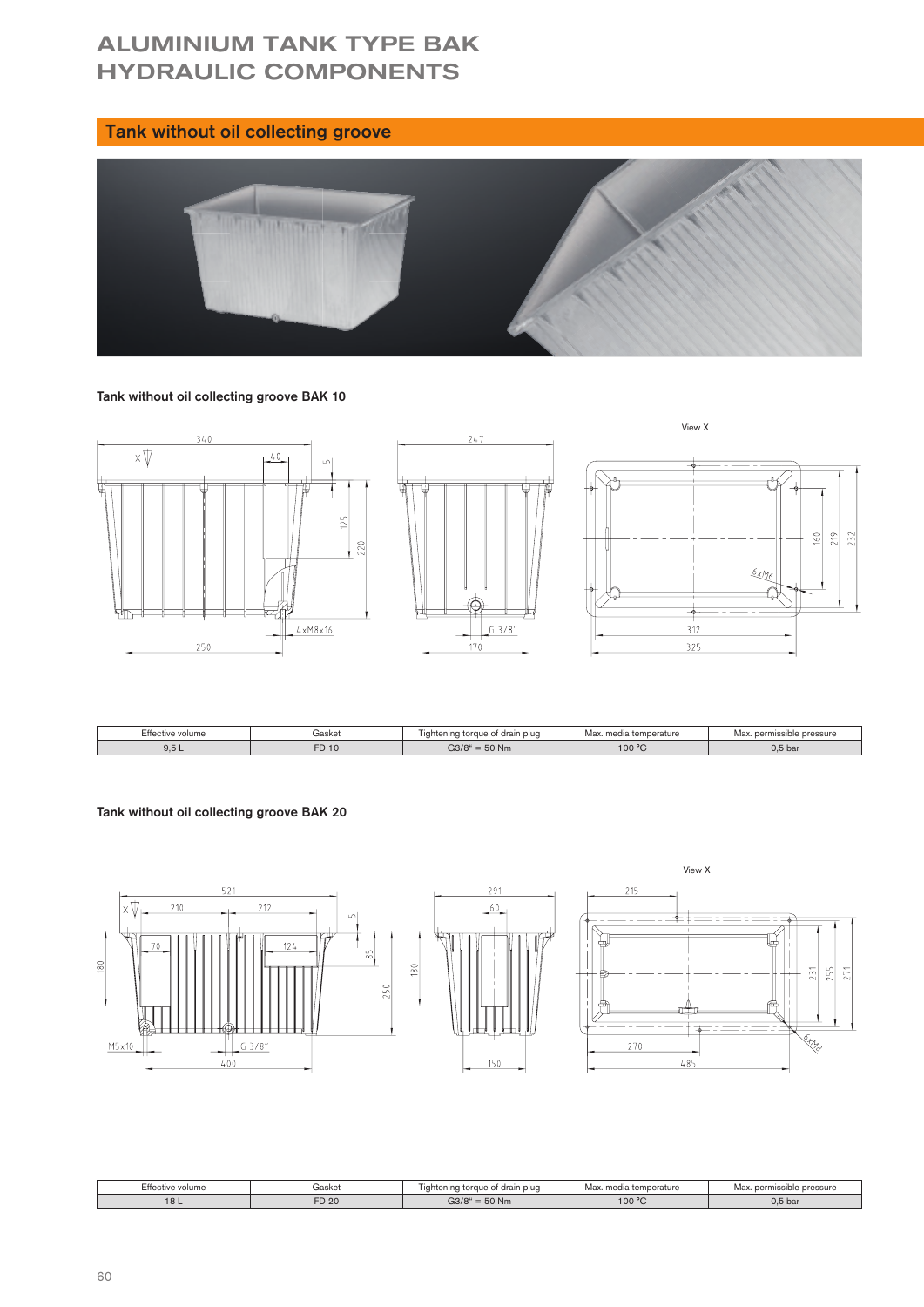# ALUMINIUM TANK TYPE BAK HYDRAULIC COMPONENTS

# Tank without oil collecting groove



### Tank without oil collecting groove BAK 10



| Effective volume | Gasket | Lightening torque of drain plug | Max. media<br>↑ temperature | nissible pressure<br>Max. perm |
|------------------|--------|---------------------------------|-----------------------------|--------------------------------|
| 0F<br>5.0 L      | FD 10  | $= 50$ Nm<br>G3/8 <sup>4</sup>  | 100 °C                      | $0,5$ bar                      |

# Tank without oil collecting groove BAK 20



| Effective volume       | iasket | drain plug<br><b>ning</b><br>±iaht∈<br>ı toraue of | Max<br>. media temperature | Max<br>pressure<br>narmice<br>ماطب<br>1.11115 |  |
|------------------------|--------|----------------------------------------------------|----------------------------|-----------------------------------------------|--|
| $\Omega$<br><b>IOL</b> | FD 20  | 50 Nm<br>G3/8                                      | 100 °C<br>$\cdot$          | $0.5$ bay                                     |  |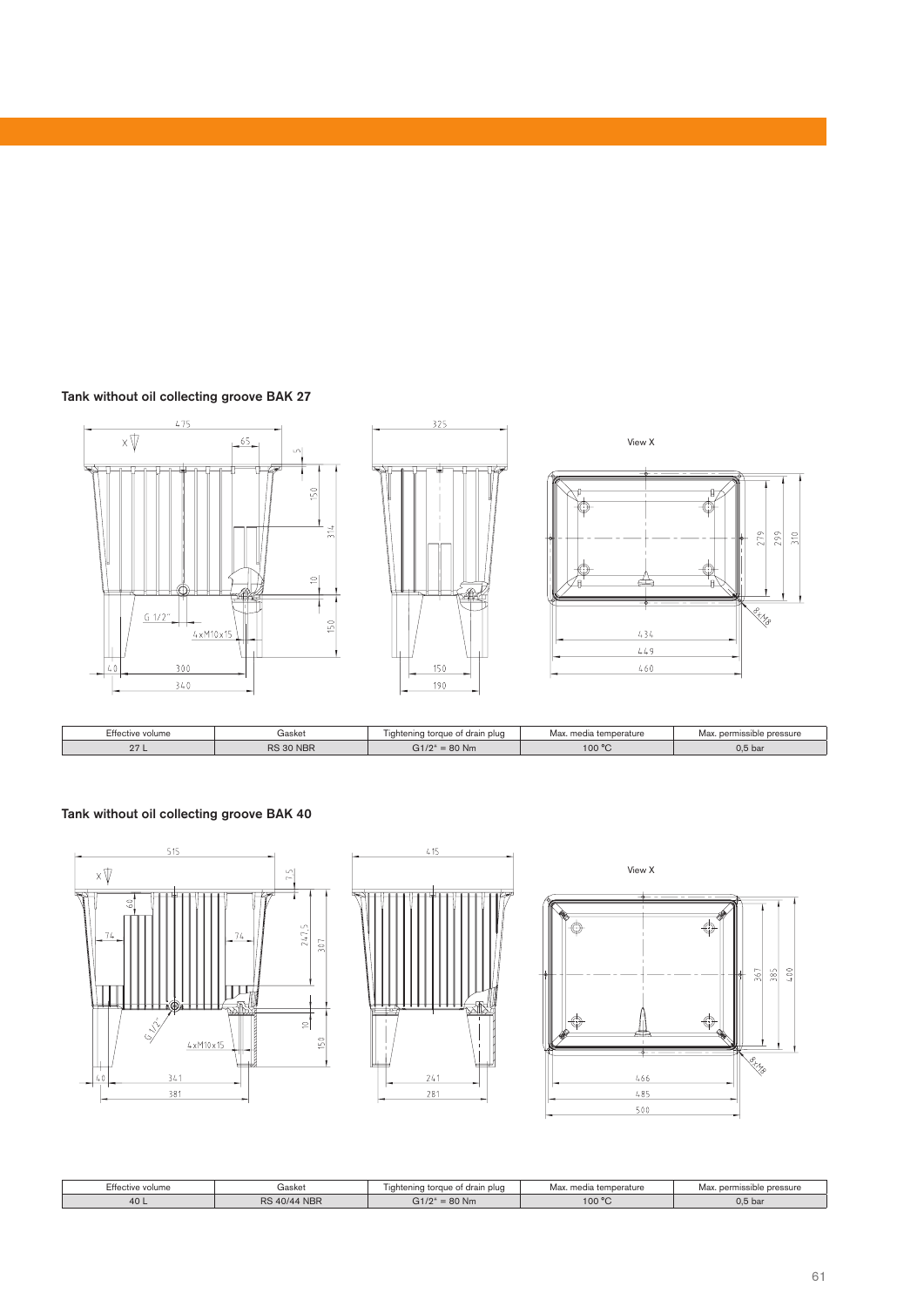



| $- \cdot -$<br>Gasket<br>$  -$<br>tive volume: |           | drain plud<br>tenına<br>torque of | temperature<br>Max<br>med | sible pressure<br>narmit<br>max |  |
|------------------------------------------------|-----------|-----------------------------------|---------------------------|---------------------------------|--|
| 07<br><u>21</u>                                | RS 30 NBR | $C + 104$<br>$= 80$ Nm<br>G 172   | 100 °C                    | 0.5 <sub>b</sub>                |  |

Tank without oil collecting groove BAK 40







| Effective volume                 | aasket |                                | Max. media temperature | . permissible pressure<br>Max |  |  |
|----------------------------------|--------|--------------------------------|------------------------|-------------------------------|--|--|
| <b>NBR</b><br>DC.<br>10/4<br>40L |        | $\sim$ $+104$<br>80 Nm<br>-217 | 100 °C                 | $0,5$ bai                     |  |  |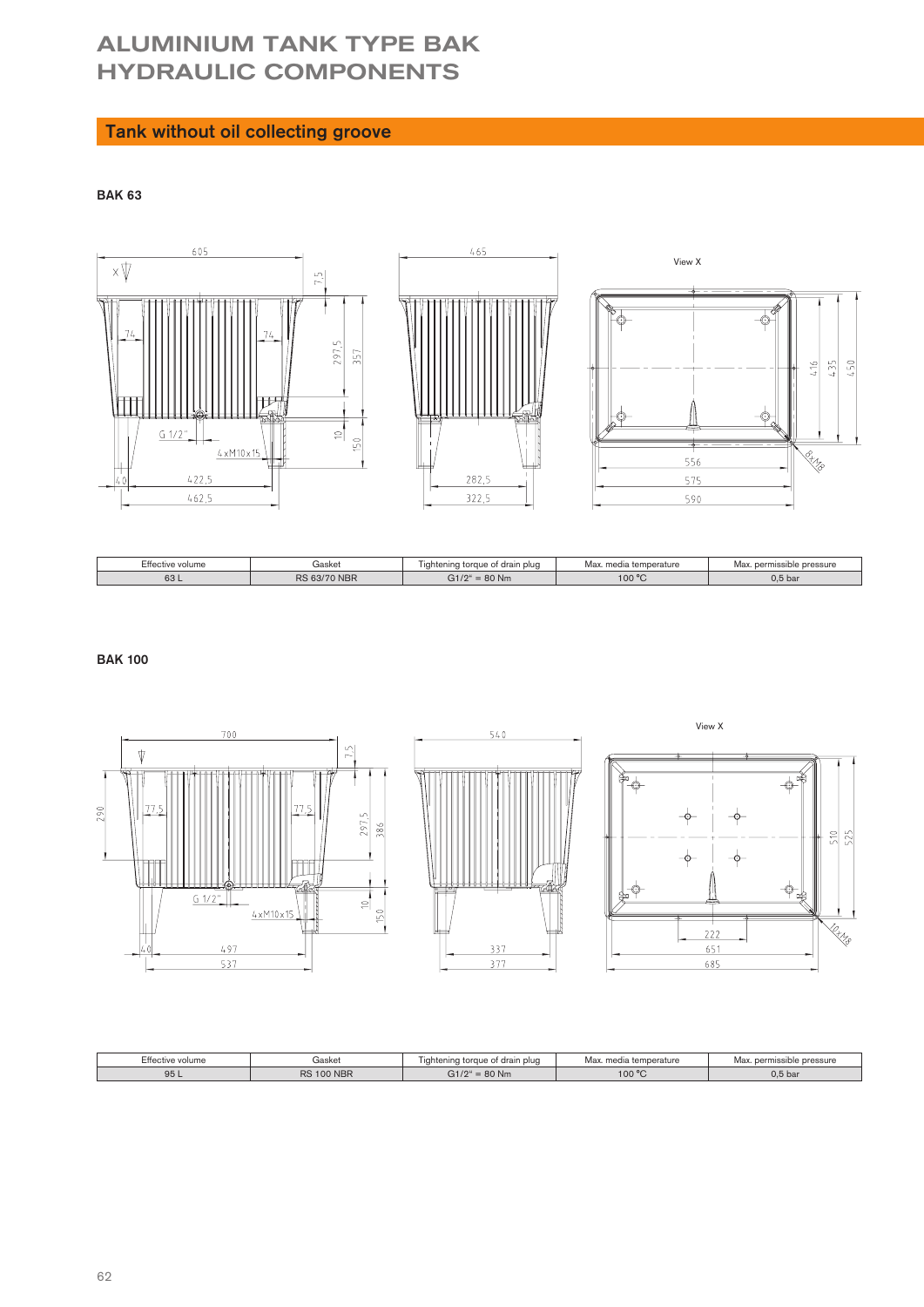# ALUMINIUM TANK TYPE BAK HYDRAULIC COMPONENTS

# Tank without oil collecting groove

BAK 63



| Effective volume | iasket | drain plud<br><b>Idhte</b><br>5000<br>ı toraue<br>- | Max<br>temperature<br>ma <sub>c</sub> | Ma<br>pressure<br>permissibl<br>S |  |
|------------------|--------|-----------------------------------------------------|---------------------------------------|-----------------------------------|--|
| 63 L             | nс     | 80 Nm                                               | 100 °C<br>◡                           | 0.5 <sub>bar</sub>                |  |

BAK 100



| Effective volume<br>iaskel |                   | drain<br>torque<br>ı plua<br>itenina | Max<br>$t_{\alpha m n}$<br>$m \wedge d$<br>∀ialure | pressure           |
|----------------------------|-------------------|--------------------------------------|----------------------------------------------------|--------------------|
| 95 L                       | <b>RS 100 NBR</b> | 0.4104<br>80 Nm                      | $-100 °C$                                          | 0.5 <sub>bar</sub> |